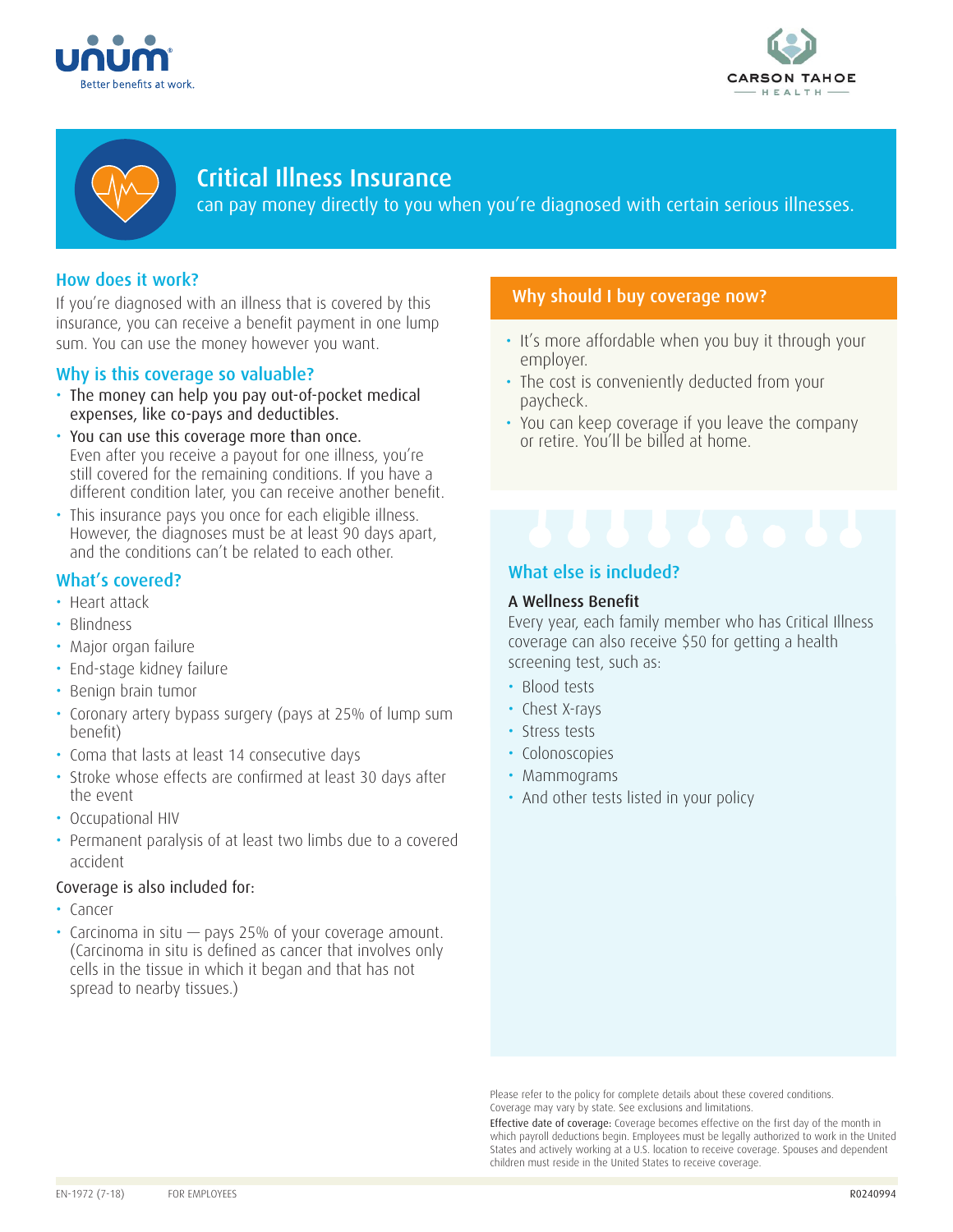





# Critical Illness Insurance

can pay money directly to you when you're diagnosed with certain serious illnesses.

# How does it work?

If you're diagnosed with an illness that is covered by this insurance, you can receive a benefit payment in one lump sum. You can use the money however you want.

## Why is this coverage so valuable?

- The money can help you pay out-of-pocket medical expenses, like co-pays and deductibles.
- You can use this coverage more than once. Even after you receive a payout for one illness, you're still covered for the remaining conditions. If you have a different condition later, you can receive another benefit.
- This insurance pays you once for each eligible illness. However, the diagnoses must be at least 90 days apart, and the conditions can't be related to each other.

# What's covered?

- Heart attack
- Blindness
- Major organ failure
- End-stage kidney failure
- Benign brain tumor
- Coronary artery bypass surgery (pays at 25% of lump sum benefit)
- Coma that lasts at least 14 consecutive days
- Stroke whose effects are confirmed at least 30 days after the event
- Occupational HIV
- Permanent paralysis of at least two limbs due to a covered accident

#### Coverage is also included for:

- Cancer
- Carcinoma in situ pays 25% of your coverage amount. (Carcinoma in situ is defined as cancer that involves only cells in the tissue in which it began and that has not spread to nearby tissues.)

# Why should I buy coverage now?

- It's more affordable when you buy it through your employer.
- The cost is conveniently deducted from your paycheck.
- You can keep coverage if you leave the company or retire. You'll be billed at home.

# What else is included?

#### A Wellness Benefit

Every year, each family member who has Critical Illness coverage can also receive \$50 for getting a health screening test, such as:

- Blood tests
- Chest X-rays
- Stress tests
- Colonoscopies
- Mammograms
- And other tests listed in your policy

Please refer to the policy for complete details about these covered conditions. Coverage may vary by state. See exclusions and limitations.

Effective date of coverage: Coverage becomes effective on the first day of the month in which payroll deductions begin. Employees must be legally authorized to work in the United States and actively working at a U.S. location to receive coverage. Spouses and dependent children must reside in the United States to receive coverage.